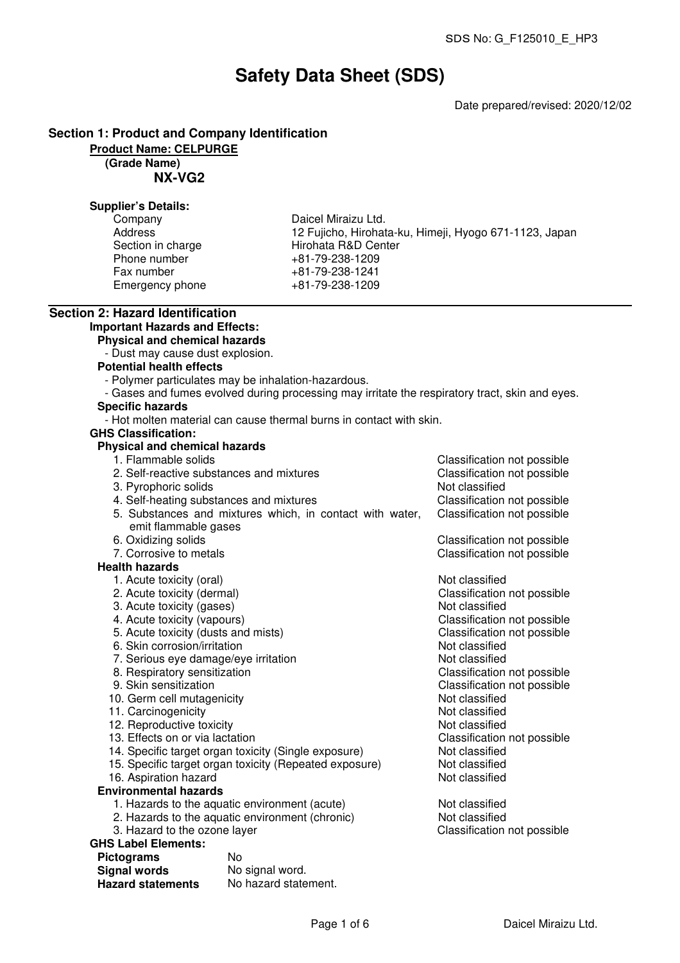# **Safety Data Sheet (SDS)**

Date prepared/revised: 2020/12/02

### **Section 1: Product and Company Identification**

**Product Name: CELPURGE**

### **(Grade Name)**

**NX-VG2**

### **Supplier's Details:**

| Company           |
|-------------------|
| Address           |
| Section in charge |
| Phone number      |
| Fax number        |
| Emergency phone   |

Daicel Miraizu Ltd. 12 Fujicho, Hirohata-ku, Himeji, Hyogo 671-1123, Japan Hirohata R&D Center  $+81-79-238-1209$ Fax number +81-79-238-1241 Emergency phone +81-79-238-1209

## **Section 2: Hazard Identification**

### **Important Hazards and Effects:**

**Physical and chemical hazards**

- Dust may cause dust explosion.

#### **Potential health effects**

- Polymer particulates may be inhalation-hazardous.
- Gases and fumes evolved during processing may irritate the respiratory tract, skin and eyes.

### **Specific hazards**

- Hot molten material can cause thermal burns in contact with skin.

### **GHS Classification:**

### **Physical and chemical hazards**

- 1. Flammable solids Classification not possible
- 2. Self-reactive substances and mixtures Classification not possible 3. Pyrophoric solids 4. Self-heating substances and mixtures 5. Substances and mixtures which, in contact with water, emit flammable gases
- 6. Oxidizing solids
- 7. Corrosive to metals

#### **Health hazards**

- 1. Acute toxicity (oral)
- 2. Acute toxicity (dermal)
- 3. Acute toxicity (gases)
- 4. Acute toxicity (vapours)
- 5. Acute toxicity (dusts and mists)
- 6. Skin corrosion/irritation
- 7. Serious eye damage/eye irritation
- 8. Respiratory sensitization<br>9. Skin sensitization
- 
- 10. Germ cell mutagenicity Not classified
- 11. Carcinogenicity **Note and Contact Contact Contact Contact Contact Contact Contact Contact Contact Contact Contact Contact Contact Contact Contact Contact Contact Contact Contact Contact Contact Contact Contact Contact**
- 12. Reproductive toxicity and the state of the Not classified
- 
- 14. Specific target organ toxicity (Single exposure) Not classified
- 15. Specific target organ toxicity (Repeated exposure) Not classified<br>16. Aspiration hazard
- 16. Aspiration hazard
- **Environmental hazards**
	- 1. Hazards to the aquatic environment (acute) Not classified
	- 2. Hazards to the aquatic environment (chronic) Not classified
	-

## **GHS Label Elements:**

| <b>Pictograms</b>        | N٥                   |
|--------------------------|----------------------|
| <b>Signal words</b>      | No signal word.      |
| <b>Hazard statements</b> | No hazard statement. |

| Not classified              |
|-----------------------------|
| Classification not possible |
| Classification not possible |
| Classification not possible |
| Classification not possible |
| Not classified              |
| Classification not possible |
| Not classified              |
| Classification not possible |
| Classification not possible |
| Not classified              |
| Not classified              |
| Classification not possible |
|                             |

Classification not possible 13. Effects on or via lactation Classification not possible

3. Hazard to the ozone layer Classification not possible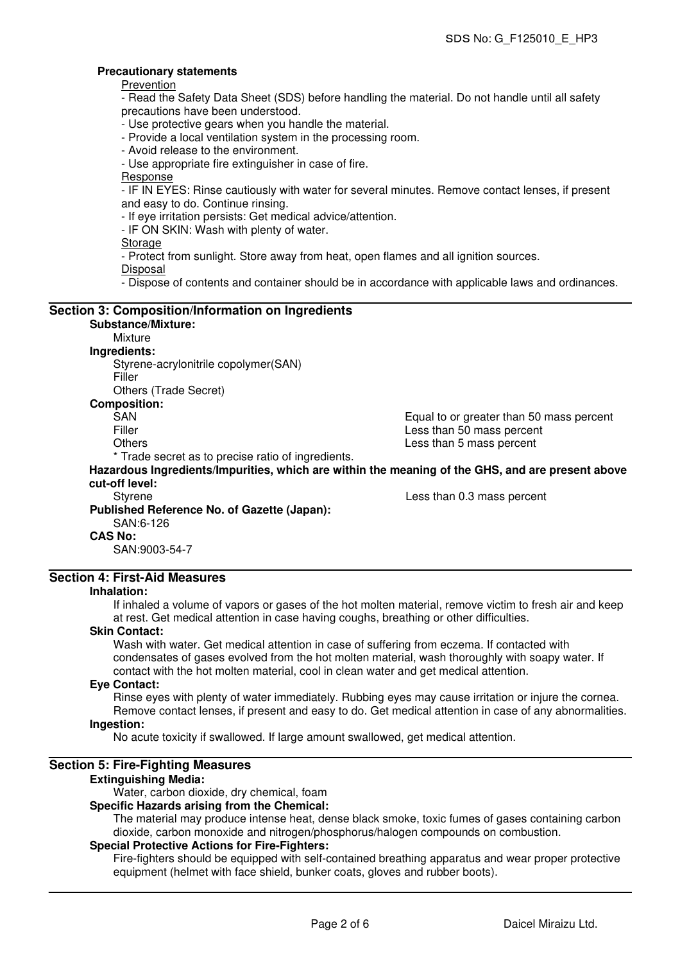### **Precautionary statements**

**Prevention** 

- Read the Safety Data Sheet (SDS) before handling the material. Do not handle until all safety precautions have been understood.

- Use protective gears when you handle the material.

- Provide a local ventilation system in the processing room.
- Avoid release to the environment.

- Use appropriate fire extinguisher in case of fire.

Response

- IF IN EYES: Rinse cautiously with water for several minutes. Remove contact lenses, if present and easy to do. Continue rinsing.

- If eye irritation persists: Get medical advice/attention.

- IF ON SKIN: Wash with plenty of water.

Storage

- Protect from sunlight. Store away from heat, open flames and all ignition sources.

Disposal

- Dispose of contents and container should be in accordance with applicable laws and ordinances.

### **Section 3: Composition/Information on Ingredients Substance/Mixture:** Mixture **Ingredients:**

Styrene-acrylonitrile copolymer(SAN)

Filler

Others (Trade Secret)

**Composition:**

SAN SAN Equal to or greater than 50 mass percent<br>Filler Filler

Others Less than 5 mass percent \* Trade secret as to precise ratio of ingredients.

Less than 50 mass percent

**Hazardous Ingredients/Impurities, which are within the meaning of the GHS, and are present above cut-off level:**

Styrene Less than 0.3 mass percent **Published Reference No. of Gazette (Japan):** SAN:6-126 **CAS No:**

SAN:9003-54-7

### **Section 4: First-Aid Measures**

### **Inhalation:**

If inhaled a volume of vapors or gases of the hot molten material, remove victim to fresh air and keep at rest. Get medical attention in case having coughs, breathing or other difficulties.

### **Skin Contact:**

Wash with water. Get medical attention in case of suffering from eczema. If contacted with condensates of gases evolved from the hot molten material, wash thoroughly with soapy water. If contact with the hot molten material, cool in clean water and get medical attention.

#### **Eye Contact:**

Rinse eyes with plenty of water immediately. Rubbing eyes may cause irritation or injure the cornea. Remove contact lenses, if present and easy to do. Get medical attention in case of any abnormalities.

### **Ingestion:**

No acute toxicity if swallowed. If large amount swallowed, get medical attention.

### **Section 5: Fire-Fighting Measures**

### **Extinguishing Media:**

Water, carbon dioxide, dry chemical, foam

#### **Specific Hazards arising from the Chemical:**

The material may produce intense heat, dense black smoke, toxic fumes of gases containing carbon dioxide, carbon monoxide and nitrogen/phosphorus/halogen compounds on combustion.

### **Special Protective Actions for Fire-Fighters:**

Fire-fighters should be equipped with self-contained breathing apparatus and wear proper protective equipment (helmet with face shield, bunker coats, gloves and rubber boots).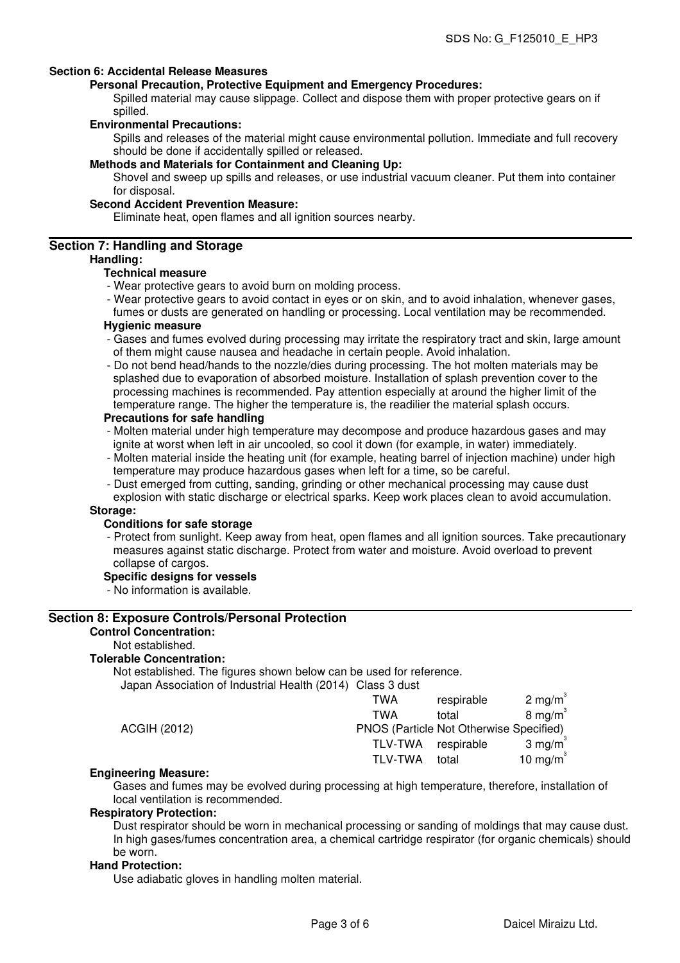### **Section 6: Accidental Release Measures**

### **Personal Precaution, Protective Equipment and Emergency Procedures:**

Spilled material may cause slippage. Collect and dispose them with proper protective gears on if spilled.

#### **Environmental Precautions:**

Spills and releases of the material might cause environmental pollution. Immediate and full recovery should be done if accidentally spilled or released.

### **Methods and Materials for Containment and Cleaning Up:**

Shovel and sweep up spills and releases, or use industrial vacuum cleaner. Put them into container for disposal.

#### **Second Accident Prevention Measure:**

Eliminate heat, open flames and all ignition sources nearby.

### **Section 7: Handling and Storage**

### **Handling:**

#### **Technical measure**

- Wear protective gears to avoid burn on molding process.
- Wear protective gears to avoid contact in eyes or on skin, and to avoid inhalation, whenever gases, fumes or dusts are generated on handling or processing. Local ventilation may be recommended.

### **Hygienic measure**

- Gases and fumes evolved during processing may irritate the respiratory tract and skin, large amount of them might cause nausea and headache in certain people. Avoid inhalation.
- Do not bend head/hands to the nozzle/dies during processing. The hot molten materials may be splashed due to evaporation of absorbed moisture. Installation of splash prevention cover to the processing machines is recommended. Pay attention especially at around the higher limit of the temperature range. The higher the temperature is, the readilier the material splash occurs.

#### **Precautions for safe handling**

- Molten material under high temperature may decompose and produce hazardous gases and may ignite at worst when left in air uncooled, so cool it down (for example, in water) immediately.
- Molten material inside the heating unit (for example, heating barrel of injection machine) under high temperature may produce hazardous gases when left for a time, so be careful.
- Dust emerged from cutting, sanding, grinding or other mechanical processing may cause dust explosion with static discharge or electrical sparks. Keep work places clean to avoid accumulation.

#### **Storage:**

#### **Conditions for safe storage**

- Protect from sunlight. Keep away from heat, open flames and all ignition sources. Take precautionary measures against static discharge. Protect from water and moisture. Avoid overload to prevent collapse of cargos.

### **Specific designs for vessels**

- No information is available.

#### **Section 8: Exposure Controls/Personal Protection**

#### **Control Concentration:**

Not established.

#### **Tolerable Concentration:**

Not established. The figures shown below can be used for reference. Japan Association of Industrial Health (2014) Class 3 dust

|              | TWA     | respirable                              | $2 \text{ mg/m}^3$   |
|--------------|---------|-----------------------------------------|----------------------|
|              | TWA     | total                                   | $8 \text{ mg/m}^3$   |
| ACGIH (2012) |         | PNOS (Particle Not Otherwise Specified) |                      |
|              | TLV-TWA | respirable                              | $3 \text{ mg/m}^3$   |
|              | TLV-TWA | total                                   | 10 mg/m <sup>3</sup> |

### **Engineering Measure:**

Gases and fumes may be evolved during processing at high temperature, therefore, installation of local ventilation is recommended.

### **Respiratory Protection:**

Dust respirator should be worn in mechanical processing or sanding of moldings that may cause dust. In high gases/fumes concentration area, a chemical cartridge respirator (for organic chemicals) should be worn.

#### **Hand Protection:**

Use adiabatic gloves in handling molten material.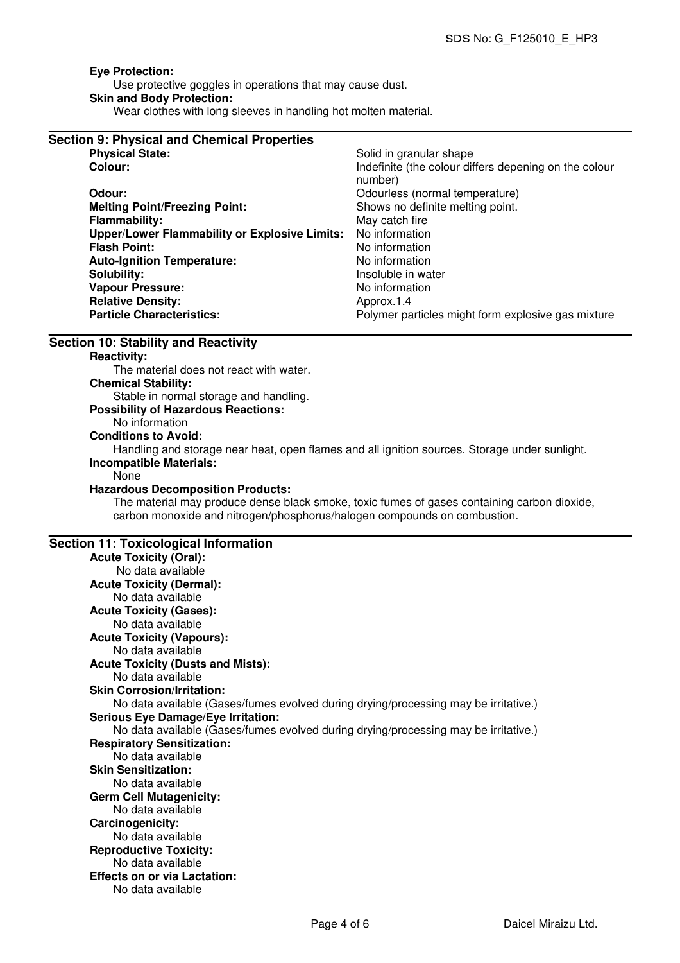#### **Eye Protection:**

Use protective goggles in operations that may cause dust. **Skin and Body Protection:** Wear clothes with long sleeves in handling hot molten material.

| <b>Section 9: Physical and Chemical Properties</b>   |                                                                  |
|------------------------------------------------------|------------------------------------------------------------------|
| <b>Physical State:</b>                               | Solid in granular shape                                          |
| Colour:                                              | Indefinite (the colour differs depening on the colour<br>number) |
| Odour:                                               | Odourless (normal temperature)                                   |
| <b>Melting Point/Freezing Point:</b>                 | Shows no definite melting point.                                 |
| <b>Flammability:</b>                                 | May catch fire                                                   |
| <b>Upper/Lower Flammability or Explosive Limits:</b> | No information                                                   |
| <b>Flash Point:</b>                                  | No information                                                   |
| <b>Auto-Ignition Temperature:</b>                    | No information                                                   |
| Solubility:                                          | Insoluble in water                                               |
| <b>Vapour Pressure:</b>                              | No information                                                   |
| <b>Relative Density:</b>                             | Approx.1.4                                                       |
| <b>Particle Characteristics:</b>                     | Polymer particles might form explosive gas mixture               |

### **Section 10: Stability and Reactivity**

### **Reactivity:**

The material does not react with water.

### **Chemical Stability:**

Stable in normal storage and handling.

### **Possibility of Hazardous Reactions:**

No information

**Conditions to Avoid:**

Handling and storage near heat, open flames and all ignition sources. Storage under sunlight. **Incompatible Materials:**

#### None

#### **Hazardous Decomposition Products:**

The material may produce dense black smoke, toxic fumes of gases containing carbon dioxide, carbon monoxide and nitrogen/phosphorus/halogen compounds on combustion.

### **Section 11: Toxicological Information**

**Acute Toxicity (Oral):** No data available **Acute Toxicity (Dermal):** No data available **Acute Toxicity (Gases):** No data available **Acute Toxicity (Vapours):** No data available **Acute Toxicity (Dusts and Mists):** No data available **Skin Corrosion/Irritation:** No data available (Gases/fumes evolved during drying/processing may be irritative.) **Serious Eye Damage/Eye Irritation:** No data available (Gases/fumes evolved during drying/processing may be irritative.) **Respiratory Sensitization:** No data available **Skin Sensitization:** No data available **Germ Cell Mutagenicity:** No data available **Carcinogenicity:** No data available **Reproductive Toxicity:** No data available **Effects on or via Lactation:** No data available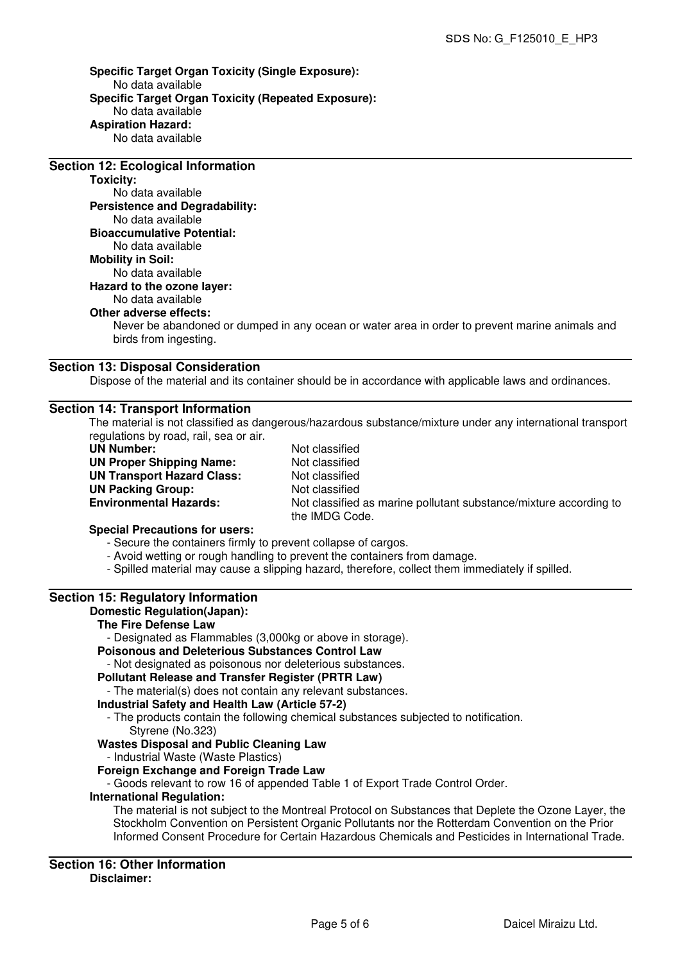**Specific Target Organ Toxicity (Single Exposure):** No data available **Specific Target Organ Toxicity (Repeated Exposure):** No data available **Aspiration Hazard:** No data available

### **Section 12: Ecological Information**

**Toxicity:**

No data available **Persistence and Degradability:** No data available **Bioaccumulative Potential:** No data available **Mobility in Soil:** No data available **Hazard to the ozone layer:** No data available **Other adverse effects:**

Never be abandoned or dumped in any ocean or water area in order to prevent marine animals and birds from ingesting.

### **Section 13: Disposal Consideration**

Dispose of the material and its container should be in accordance with applicable laws and ordinances.

### **Section 14: Transport Information**

The material is not classified as dangerous/hazardous substance/mixture under any international transport regulations by road, rail, sea or air.

**UN Number:** Not classified **UN Proper Shipping Name:** Not classified **UN Transport Hazard Class:** Not classified **UN Packing Group:** Not classified<br> **Environmental Hazards:** Not classified

Not classified as marine pollutant substance/mixture according to the IMDG Code.

#### **Special Precautions for users:**

- Secure the containers firmly to prevent collapse of cargos.
- Avoid wetting or rough handling to prevent the containers from damage.
- Spilled material may cause a slipping hazard, therefore, collect them immediately if spilled.

### **Section 15: Regulatory Information**

### **Domestic Regulation(Japan):**

### **The Fire Defense Law**

- Designated as Flammables (3,000kg or above in storage).

### **Poisonous and Deleterious Substances Control Law**

- Not designated as poisonous nor deleterious substances.

### **Pollutant Release and Transfer Register (PRTR Law)**

- The material(s) does not contain any relevant substances.

### **Industrial Safety and Health Law (Article 57-2)**

- The products contain the following chemical substances subjected to notification.

Styrene (No.323)

### **Wastes Disposal and Public Cleaning Law**

- Industrial Waste (Waste Plastics)

### **Foreign Exchange and Foreign Trade Law**

- Goods relevant to row 16 of appended Table 1 of Export Trade Control Order.

### **International Regulation:**

The material is not subject to the Montreal Protocol on Substances that Deplete the Ozone Layer, the Stockholm Convention on Persistent Organic Pollutants nor the Rotterdam Convention on the Prior Informed Consent Procedure for Certain Hazardous Chemicals and Pesticides in International Trade.

**Section 16: Other Information Disclaimer:**